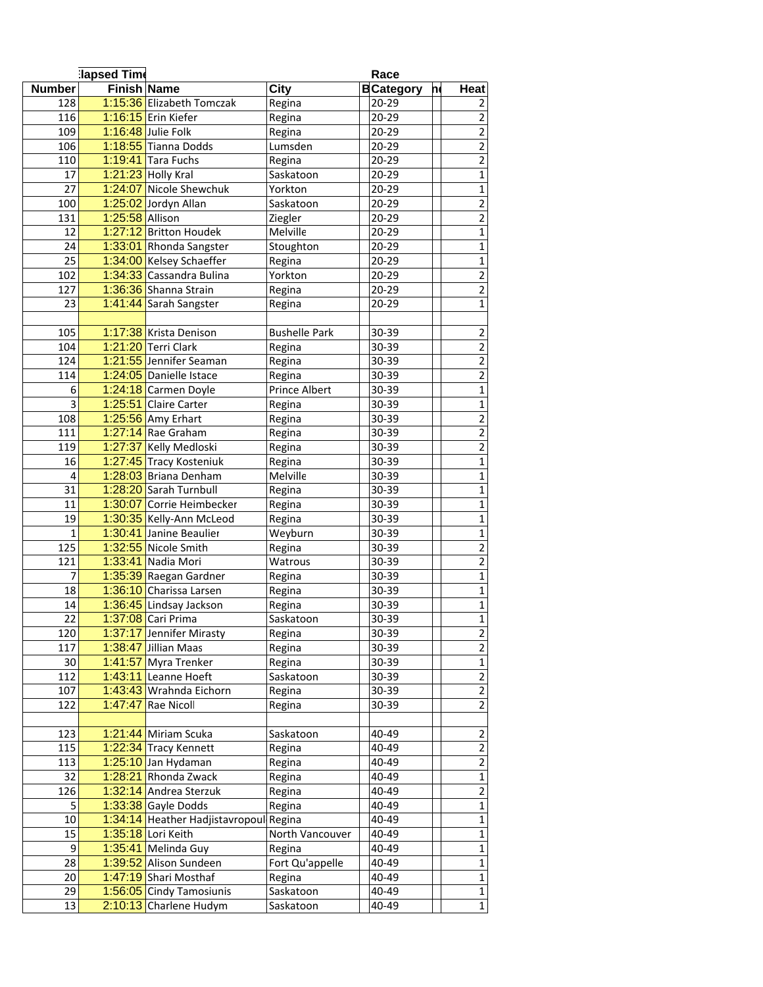|                  | lapsed Time        |                                 |                      |  | Race              |   |                         |  |
|------------------|--------------------|---------------------------------|----------------------|--|-------------------|---|-------------------------|--|
| <b>Number</b>    | <b>Finish Name</b> |                                 | <b>City</b>          |  | <b>B</b> Category | h | <b>Heat</b>             |  |
| 128              |                    | 1:15:36 Elizabeth Tomczak       | Regina               |  | $20 - 29$         |   | 2                       |  |
| 116              |                    | 1:16:15 Erin Kiefer             | Regina               |  | $20 - 29$         |   | $\overline{2}$          |  |
| 109              |                    | 1:16:48 Julie Folk              | Regina               |  | 20-29             |   | $\overline{2}$          |  |
| 106              |                    | 1:18:55 Tianna Dodds            | Lumsden              |  | 20-29             |   | $\overline{2}$          |  |
| 110              |                    | $1:19:41$ Tara Fuchs            | Regina               |  | 20-29             |   | $\overline{c}$          |  |
| 17               |                    | 1:21:23 Holly Kral              | Saskatoon            |  | 20-29             |   | $\mathbf{1}$            |  |
| $\overline{27}$  |                    | 1:24:07 Nicole Shewchuk         | Yorkton              |  | 20-29             |   | $\overline{1}$          |  |
| 100              |                    | 1:25:02 Jordyn Allan            | Saskatoon            |  | 20-29             |   | $\overline{2}$          |  |
| 131              | 1:25:58 Allison    |                                 | Ziegler              |  | 20-29             |   | $\mathbf 2$             |  |
| 12               |                    | 1:27:12 Britton Houdek          | Melville             |  | 20-29             |   | $\mathbf 1$             |  |
| 24               |                    | 1:33:01 Rhonda Sangster         | Stoughton            |  | 20-29             |   | $\mathbf 1$             |  |
| 25               |                    | 1:34:00 Kelsey Schaeffer        |                      |  | 20-29             |   | $\mathbf 1$             |  |
| 102              |                    | 1:34:33 Cassandra Bulina        | Regina<br>Yorkton    |  | 20-29             |   | $\overline{2}$          |  |
| 127              |                    |                                 |                      |  |                   |   | $\overline{2}$          |  |
|                  |                    | 1:36:36 Shanna Strain           | Regina               |  | 20-29             |   |                         |  |
| 23               |                    | 1:41:44 Sarah Sangster          | Regina               |  | 20-29             |   | $\mathbf 1$             |  |
|                  |                    |                                 |                      |  |                   |   |                         |  |
| 105              |                    | 1:17:38 Krista Denison          | <b>Bushelle Park</b> |  | 30-39             |   | $\overline{2}$          |  |
| 104              |                    | 1:21:20 Terri Clark             | Regina               |  | 30-39             |   | $\mathbf 2$             |  |
| 124              |                    | 1:21:55 Jennifer Seaman         | Regina               |  | 30-39             |   | $\overline{2}$          |  |
| 114              |                    | 1:24:05 Danielle Istace         | Regina               |  | 30-39             |   | $\overline{2}$          |  |
| $\boldsymbol{6}$ |                    | 1:24:18 Carmen Doyle            | Prince Albert        |  | 30-39             |   | $\mathbf{1}$            |  |
| $\overline{3}$   |                    | 1:25:51 Claire Carter           | Regina               |  | 30-39             |   | $\mathbf 1$             |  |
| 108              |                    | 1:25:56 Amy Erhart              | Regina               |  | 30-39             |   | $\mathbf 2$             |  |
| 111              |                    | 1:27:14 Rae Graham              | Regina               |  | 30-39             |   | $\mathbf 2$             |  |
| 119              |                    | 1:27:37 Kelly Medloski          | Regina               |  | 30-39             |   | $\overline{2}$          |  |
| 16               |                    | 1:27:45 Tracy Kosteniuk         | Regina               |  | 30-39             |   | $\overline{1}$          |  |
| $\overline{4}$   |                    | 1:28:03 Briana Denham           | Melville             |  | 30-39             |   | $\mathbf 1$             |  |
| $\overline{31}$  |                    | 1:28:20 Sarah Turnbull          | Regina               |  | 30-39             |   | $\mathbf 1$             |  |
| 11               |                    | 1:30:07 Corrie Heimbecker       | Regina               |  | 30-39             |   | $\mathbf{1}$            |  |
| 19               |                    | 1:30:35 Kelly-Ann McLeod        | Regina               |  | 30-39             |   | $\mathbf{1}$            |  |
| $\mathbf 1$      |                    | 1:30:41 Janine Beaulier         | Weyburn              |  | 30-39             |   | $\overline{1}$          |  |
| 125              |                    | 1:32:55 Nicole Smith            | Regina               |  | 30-39             |   | $\overline{2}$          |  |
| 121              |                    | 1:33:41 Nadia Mori              | Watrous              |  | 30-39             |   | $\mathbf 2$             |  |
| 7                |                    | 1:35:39 Raegan Gardner          | Regina               |  | 30-39             |   | $\mathbf 1$             |  |
| 18               |                    | 1:36:10 Charissa Larsen         | Regina               |  | 30-39             |   | $\mathbf{1}$            |  |
| 14               |                    | 1:36:45 Lindsay Jackson         | Regina               |  | 30-39             |   | $\mathbf 1$             |  |
| $\overline{22}$  |                    | 1:37:08 Cari Prima              | Saskatoon            |  | $30 - 39$         |   | $\mathbf 1$             |  |
| 120              |                    | 1:37:17 Jennifer Mirasty        | Regina               |  | 30-39             |   | $\mathbf{2}$            |  |
| 117              |                    | 1:38:47 Jillian Maas            | Regina               |  | 30-39             |   | $\overline{2}$          |  |
| 30               |                    | 1:41:57 Myra Trenker            | Regina               |  | 30-39             |   | $\mathbf{1}$            |  |
| 112              |                    | 1:43:11 Leanne Hoeft            | Saskatoon            |  | 30-39             |   | $\overline{2}$          |  |
| 107              |                    | 1:43:43 Wrahnda Eichorn         | Regina               |  | 30-39             |   | $\mathbf 2$             |  |
| 122              |                    | 1:47:47 Rae Nicoll              | Regina               |  | 30-39             |   | $\overline{2}$          |  |
|                  |                    |                                 |                      |  |                   |   |                         |  |
| 123              |                    | 1:21:44 Miriam Scuka            | Saskatoon            |  | 40-49             |   | $\overline{2}$          |  |
| 115              |                    | 1:22:34 Tracy Kennett           | Regina               |  | 40-49             |   | $\overline{2}$          |  |
| 113              |                    | 1:25:10 Jan Hydaman             | Regina               |  | 40-49             |   | $\overline{2}$          |  |
| 32               |                    | 1:28:21 Rhonda Zwack            | Regina               |  | 40-49             |   | 1                       |  |
| 126              |                    | 1:32:14 Andrea Sterzuk          | Regina               |  | 40-49             |   | $\overline{\mathbf{c}}$ |  |
| 5                |                    | 1:33:38 Gayle Dodds             | Regina               |  | 40-49             |   | $\mathbf 1$             |  |
| 10               |                    | 1:34:14 Heather Hadjistavropoul | Regina               |  | 40-49             |   | $\mathbf 1$             |  |
| 15               |                    | 1:35:18 Lori Keith              | North Vancouver      |  | 40-49             |   | $\mathbf{1}$            |  |
| 9                |                    | 1:35:41 Melinda Guy             | Regina               |  | 40-49             |   | $\mathbf{1}$            |  |
| 28               |                    | 1:39:52 Alison Sundeen          | Fort Qu'appelle      |  | 40-49             |   | $\mathbf{1}$            |  |
| 20               |                    | 1:47:19 Shari Mosthaf           | Regina               |  | 40-49             |   | $\mathbf 1$             |  |
| 29               |                    | 1:56:05 Cindy Tamosiunis        | Saskatoon            |  | 40-49             |   | $\mathbf 1$             |  |
| 13               |                    | 2:10:13 Charlene Hudym          | Saskatoon            |  | 40-49             |   | $1\vert$                |  |